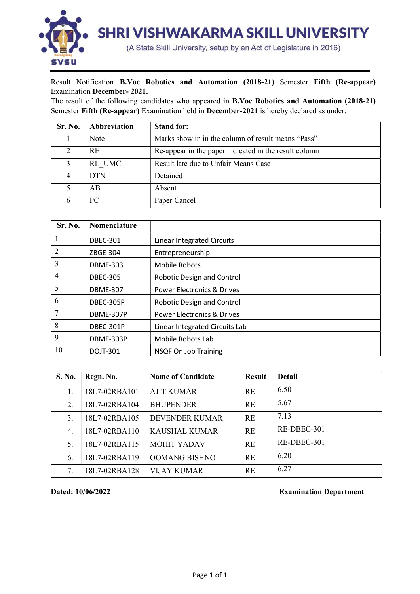

## Result Notification B.Voc Robotics and Automation (2018-21) Semester Fifth (Re-appear) Examination December- 2021.

The result of the following candidates who appeared in B.Voc Robotics and Automation (2018-21) Semester Fifth (Re-appear) Examination held in December-2021 is hereby declared as under:

| Sr. No. | Abbreviation | <b>Stand for:</b>                                     |
|---------|--------------|-------------------------------------------------------|
|         | Note         | Marks show in in the column of result means "Pass"    |
| 2       | <b>RE</b>    | Re-appear in the paper indicated in the result column |
|         | RL UMC       | Result late due to Unfair Means Case                  |
|         | <b>DTN</b>   | Detained                                              |
|         | AB           | Absent                                                |
|         | PC.          | Paper Cancel                                          |

| Sr. No.        | <b>Nomenclature</b> |                                       |
|----------------|---------------------|---------------------------------------|
| 1              | <b>DBEC-301</b>     | Linear Integrated Circuits            |
| $\overline{2}$ | ZBGE-304            | Entrepreneurship                      |
| 3              | <b>DBME-303</b>     | Mobile Robots                         |
| $\overline{4}$ | <b>DBEC-305</b>     | <b>Robotic Design and Control</b>     |
| 5              | <b>DBME-307</b>     | <b>Power Electronics &amp; Drives</b> |
| 6              | DBEC-305P           | <b>Robotic Design and Control</b>     |
|                | DBME-307P           | Power Electronics & Drives            |
| 8              | DBEC-301P           | Linear Integrated Circuits Lab        |
| 9              | DBME-303P           | Mobile Robots Lab                     |
| 10             | <b>DOJT-301</b>     | NSQF On Job Training                  |

| S. No. | Regn. No.     | <b>Name of Candidate</b> | <b>Result</b> | <b>Detail</b> |
|--------|---------------|--------------------------|---------------|---------------|
| 1.     | 18L7-02RBA101 | AJIT KUMAR               | <b>RE</b>     | 6.50          |
| 2.     | 18L7-02RBA104 | <b>BHUPENDER</b>         | <b>RE</b>     | 5.67          |
| 3.     | 18L7-02RBA105 | <b>DEVENDER KUMAR</b>    | <b>RE</b>     | 7.13          |
| 4.     | 18L7-02RBA110 | <b>KAUSHAL KUMAR</b>     | <b>RE</b>     | RE-DBEC-301   |
| 5.     | 18L7-02RBA115 | <b>MOHIT YADAV</b>       | <b>RE</b>     | RE-DBEC-301   |
| 6.     | 18L7-02RBA119 | <b>OOMANG BISHNOI</b>    | <b>RE</b>     | 6.20          |
| 7.     | 18L7-02RBA128 | <b>VIJAY KUMAR</b>       | <b>RE</b>     | 6.27          |

Dated: 10/06/2022 Examination Department